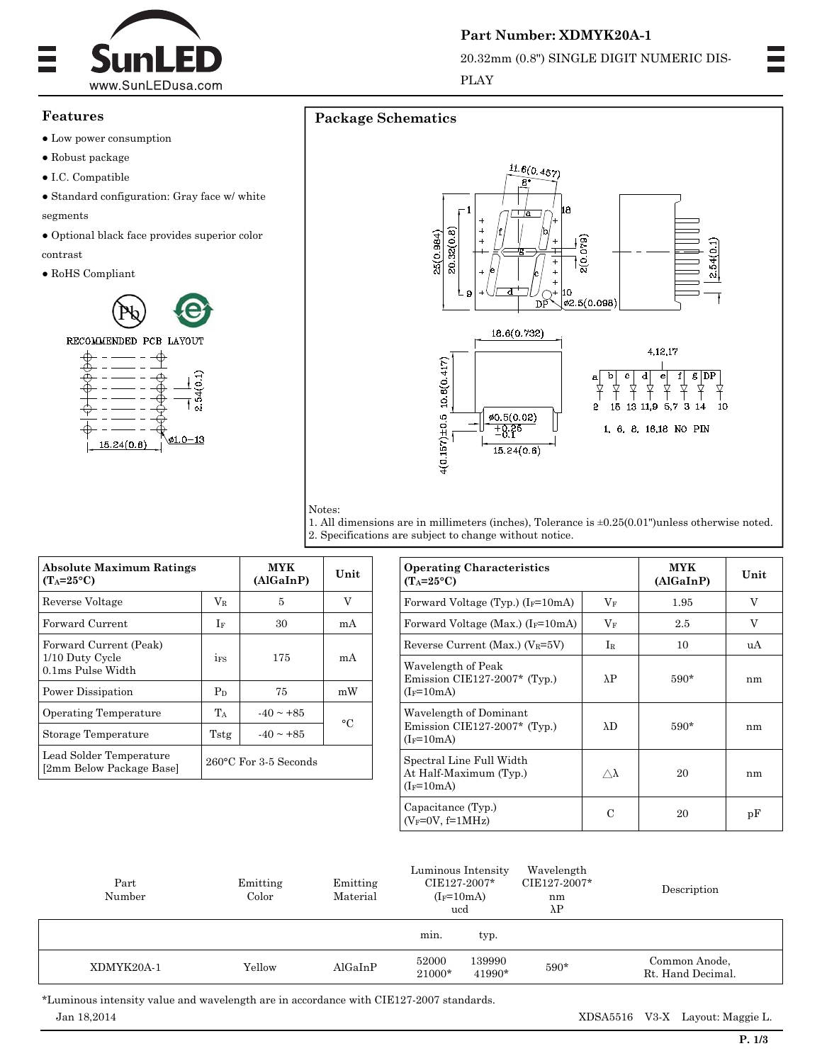

## **Features**

- Low power consumption
- Robust package
- $\bullet$  I.C. Compatible

 $\bullet$  Standard configuration: Gray face w/ white segments

 $\bullet$  Optional black face provides superior color contrast

 $\bullet$  RoHS Compliant



# **Package Schematics**







1. All dimensions are in millimeters (inches), Tolerance is  $\pm 0.25(0.01")$ unless otherwise noted. 2. Specifications are subject to change without notice.

| <b>Absolute Maximum Ratings</b><br>$(T_A=25\textdegree C)$     |                                 | <b>MYK</b><br>(AlGaInP) | Unit |  |
|----------------------------------------------------------------|---------------------------------|-------------------------|------|--|
| Reverse Voltage                                                | $V_{R}$                         | 5                       | V    |  |
| Forward Current                                                | If                              | 30                      | mA   |  |
| Forward Current (Peak)<br>1/10 Duty Cycle<br>0.1ms Pulse Width | 1FS                             | 175                     | mA   |  |
| Power Dissipation                                              | $P_D$                           | 75                      | mW   |  |
| <b>Operating Temperature</b>                                   | $T_A$                           | $-40 \sim +85$          | °C   |  |
| Storage Temperature                                            | Tstg                            | $-40 \sim +85$          |      |  |
| Lead Solder Temperature<br>[2mm Below Package Base]            | $260^{\circ}$ C For 3-5 Seconds |                         |      |  |

| <b>Operating Characteristics</b><br>$(T_A=25\textdegree C)$            | <b>MYK</b><br>(AlGaInP) | Unit   |    |
|------------------------------------------------------------------------|-------------------------|--------|----|
| Forward Voltage (Typ.) $(I_F=10mA)$                                    | $V_{\rm F}$             | 1.95   | V  |
| Forward Voltage (Max.) $(I_F=10mA)$                                    | $V_{\rm F}$             | 2.5    | V  |
| Reverse Current (Max.) ( $V_R = 5V$ )                                  | Ir                      | 10     | uA |
| Wavelength of Peak<br>Emission CIE127-2007* (Typ.)<br>$(I_F=10mA)$     | $\lambda P$             | $590*$ | nm |
| Wavelength of Dominant<br>Emission CIE127-2007* (Typ.)<br>$(I_F=10mA)$ | $\lambda$ D             | $590*$ | nm |
| Spectral Line Full Width<br>At Half-Maximum (Typ.)<br>$(I_F=10mA)$     | $\wedge \lambda$        | 20     | nm |
| Capacitance (Typ.)<br>$(V_F=0V, f=1MHz)$                               | C                       | 20     | pF |

| Part<br>Number | Emitting<br>Color | Emitting<br>Material | Luminous Intensity<br>CIE127-2007*<br>$(I_F=10mA)$<br>ucd | Wavelength<br>CIE127-2007*<br>nm<br>$\lambda$ P | Description                        |
|----------------|-------------------|----------------------|-----------------------------------------------------------|-------------------------------------------------|------------------------------------|
|                |                   |                      | min.<br>typ.                                              |                                                 |                                    |
| XDMYK20A-1     | Yellow            | AlGaInP              | 139990<br>52000<br>21000*<br>$41990*$                     | 590*                                            | Common Anode,<br>Rt. Hand Decimal. |

 Jan 18,2014 XDSA5516 V3-X Layout: Maggie L. \*Luminous intensity value and wavelength are in accordance with CIE127-2007 standards.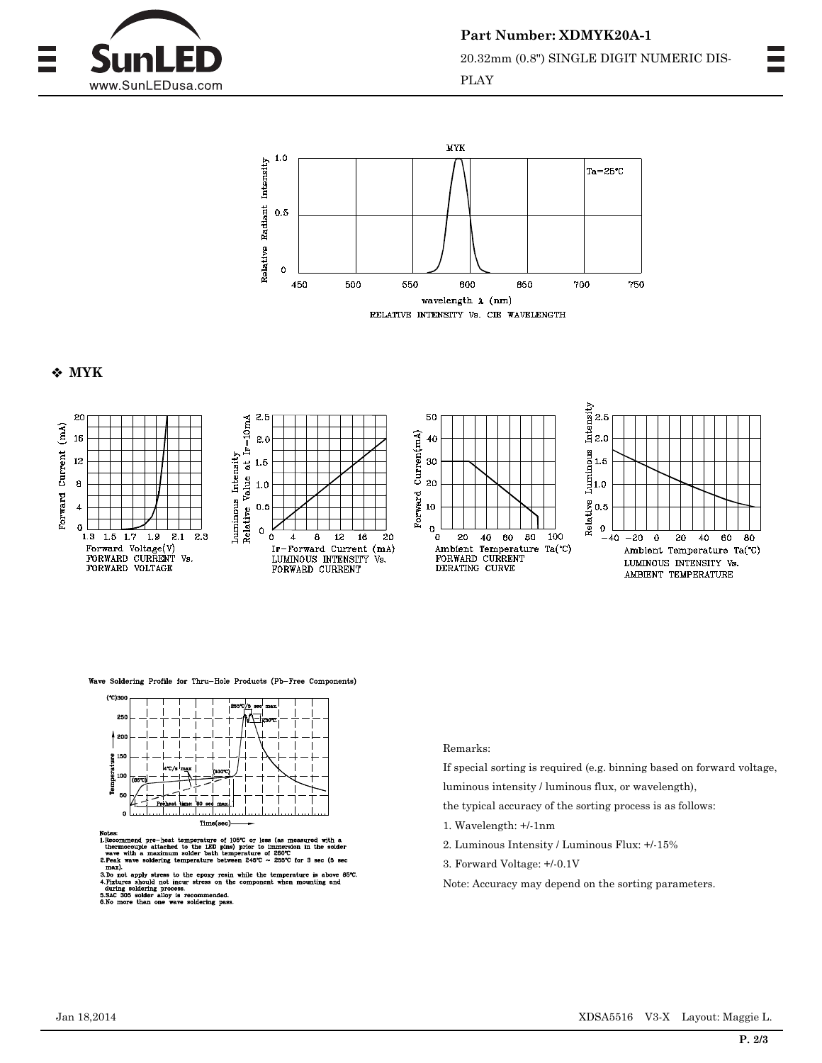

**Part Number: XDMYK20A-1** 20.32mm (0.8") SINGLE DIGIT NUMERIC DIS-PLAY



## **MYK**



Wave Soldering Profile for Thru-Hole Products (Pb-Free Components)



of (x

the not incu<br>g process.<br>alloy is r<br>one wave

Remarks:

If special sorting is required (e.g. binning based on forward voltage,

luminous intensity / luminous flux, or wavelength),

the typical accuracy of the sorting process is as follows:

- 1. Wavelength: +/-1nm
- 2. Luminous Intensity / Luminous Flux: +/-15%
- 3. Forward Voltage: +/-0.1V
- Note: Accuracy may depend on the sorting parameters.